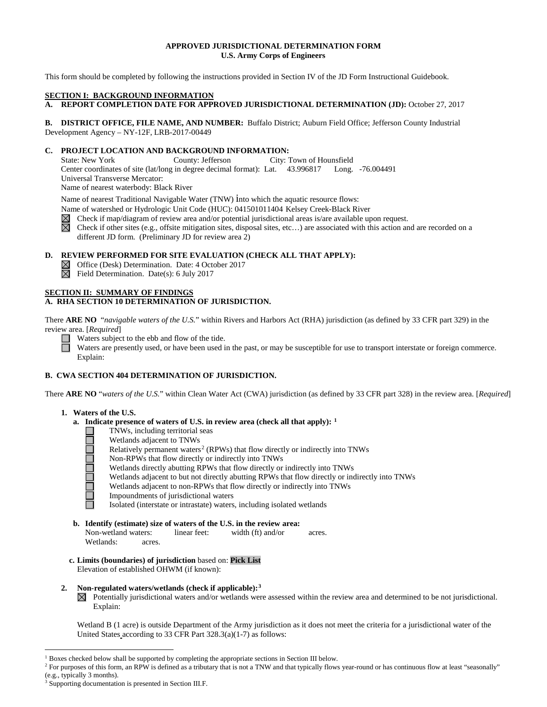## **APPROVED JURISDICTIONAL DETERMINATION FORM U.S. Army Corps of Engineers**

This form should be completed by following the instructions provided in Section IV of the JD Form Instructional Guidebook.

#### **SECTION I: BACKGROUND INFORMATION**

**A. REPORT COMPLETION DATE FOR APPROVED JURISDICTIONAL DETERMINATION (JD):** October 27, 2017

**B. DISTRICT OFFICE, FILE NAME, AND NUMBER:** Buffalo District; Auburn Field Office; Jefferson County Industrial Development Agency – NY-12F, LRB-2017-00449

## **C. PROJECT LOCATION AND BACKGROUND INFORMATION:**

State: New York County: Jefferson City: Town of Hounsfield Center coordinates of site (lat/long in degree decimal format): Lat. 43.996817 Long. -76.004491 Universal Transverse Mercator: Name of nearest waterbody: Black River

Name of nearest Traditional Navigable Water (TNW) into which the aquatic resource flows:

Name of watershed or Hydrologic Unit Code (HUC): 041501011404 Kelsey Creek-Black River

Check if map/diagram of review area and/or potential jurisdictional areas is/are available upon request.

 $\boxtimes$ Check if other sites (e.g., offsite mitigation sites, disposal sites, etc…) are associated with this action and are recorded on a different JD form. (Preliminary JD for review area 2)

# **D. REVIEW PERFORMED FOR SITE EVALUATION (CHECK ALL THAT APPLY):**

- $\boxtimes$  Office (Desk) Determination. Date: 4 October 2017
- $\boxtimes$  Field Determination. Date(s): 6 July 2017

#### **SECTION II: SUMMARY OF FINDINGS A. RHA SECTION 10 DETERMINATION OF JURISDICTION.**

There **ARE NO** "*navigable waters of the U.S.*" within Rivers and Harbors Act (RHA) jurisdiction (as defined by 33 CFR part 329) in the review area. [*Required*]

Waters subject to the ebb and flow of the tide.

Waters are presently used, or have been used in the past, or may be susceptible for use to transport interstate or foreign commerce. Explain:

# **B. CWA SECTION 404 DETERMINATION OF JURISDICTION.**

There **ARE NO** "*waters of the U.S.*" within Clean Water Act (CWA) jurisdiction (as defined by 33 CFR part 328) in the review area. [*Required*]

## **1. Waters of the U.S.**

100000000

- **a. Indicate presence of waters of U.S. in review area (check all that apply): [1](#page-0-0)**
	- TNWs, including territorial seas
	- Wetlands adjacent to TNWs
	- Relatively permanent waters<sup>[2](#page-0-1)</sup> (RPWs) that flow directly or indirectly into TNWs
	- Non-RPWs that flow directly or indirectly into TNWs
	- Wetlands directly abutting RPWs that flow directly or indirectly into TNWs
	- Wetlands adjacent to but not directly abutting RPWs that flow directly or indirectly into TNWs
	- Wetlands adjacent to non-RPWs that flow directly or indirectly into TNWs
	- Impoundments of jurisdictional waters
	- Isolated (interstate or intrastate) waters, including isolated wetlands
- **b. Identify (estimate) size of waters of the U.S. in the review area:** Non-wetland waters: linear feet: width (ft) and/or acres. Wetlands: acres.
- **c. Limits (boundaries) of jurisdiction** based on: **Pick List** Elevation of established OHWM (if known):

#### **2. Non-regulated waters/wetlands (check if applicable):[3](#page-0-2)**

 $\boxtimes$  Potentially jurisdictional waters and/or wetlands were assessed within the review area and determined to be not jurisdictional. Explain:

Wetland B (1 acre) is outside Department of the Army jurisdiction as it does not meet the criteria for a jurisdictional water of the United States according to 33 CFR Part 328.3(a)(1-7) as follows:

<span id="page-0-0"></span> <sup>1</sup> Boxes checked below shall be supported by completing the appropriate sections in Section III below.

<span id="page-0-1"></span><sup>&</sup>lt;sup>2</sup> For purposes of this form, an RPW is defined as a tributary that is not a TNW and that typically flows year-round or has continuous flow at least "seasonally" (e.g., typically 3 months).

<span id="page-0-2"></span>Supporting documentation is presented in Section III.F.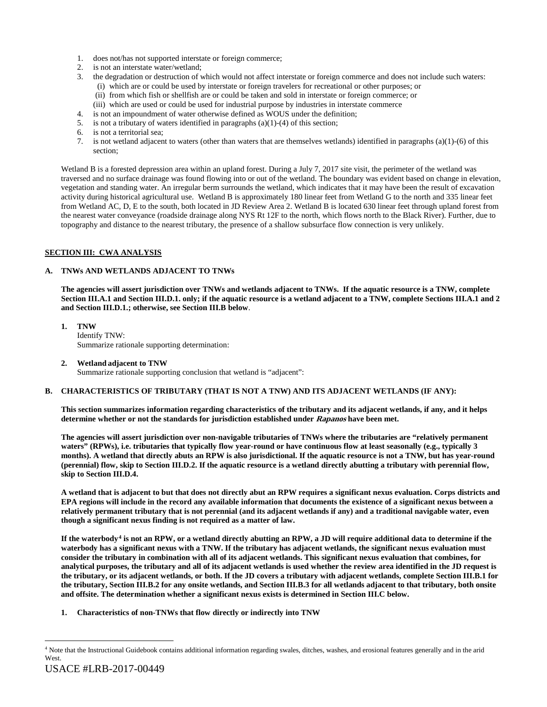- 1. does not/has not supported interstate or foreign commerce;
- 2. is not an interstate water/wetland;
- 3. the degradation or destruction of which would not affect interstate or foreign commerce and does not include such waters: (i) which are or could be used by interstate or foreign travelers for recreational or other purposes; or
	- (ii) from which fish or shellfish are or could be taken and sold in interstate or foreign commerce; or
	- (iii) which are used or could be used for industrial purpose by industries in interstate commerce
- 4. is not an impoundment of water otherwise defined as WOUS under the definition;
- 5. is not a tributary of waters identified in paragraphs (a)(1)-(4) of this section;
- 6. is not a territorial sea;
- 7. is not wetland adjacent to waters (other than waters that are themselves wetlands) identified in paragraphs (a)(1)-(6) of this section;

Wetland B is a forested depression area within an upland forest. During a July 7, 2017 site visit, the perimeter of the wetland was traversed and no surface drainage was found flowing into or out of the wetland. The boundary was evident based on change in elevation, vegetation and standing water. An irregular berm surrounds the wetland, which indicates that it may have been the result of excavation activity during historical agricultural use. Wetland B is approximately 180 linear feet from Wetland G to the north and 335 linear feet from Wetland AC, D, E to the south, both located in JD Review Area 2. Wetland B is located 630 linear feet through upland forest from the nearest water conveyance (roadside drainage along NYS Rt 12F to the north, which flows north to the Black River). Further, due to topography and distance to the nearest tributary, the presence of a shallow subsurface flow connection is very unlikely.

## **SECTION III: CWA ANALYSIS**

## **A. TNWs AND WETLANDS ADJACENT TO TNWs**

**The agencies will assert jurisdiction over TNWs and wetlands adjacent to TNWs. If the aquatic resource is a TNW, complete Section III.A.1 and Section III.D.1. only; if the aquatic resource is a wetland adjacent to a TNW, complete Sections III.A.1 and 2 and Section III.D.1.; otherwise, see Section III.B below**.

**1. TNW**  Identify TNW: Summarize rationale supporting determination:

## **2. Wetland adjacent to TNW**

Summarize rationale supporting conclusion that wetland is "adjacent":

# **B. CHARACTERISTICS OF TRIBUTARY (THAT IS NOT A TNW) AND ITS ADJACENT WETLANDS (IF ANY):**

**This section summarizes information regarding characteristics of the tributary and its adjacent wetlands, if any, and it helps determine whether or not the standards for jurisdiction established under Rapanos have been met.** 

**The agencies will assert jurisdiction over non-navigable tributaries of TNWs where the tributaries are "relatively permanent waters" (RPWs), i.e. tributaries that typically flow year-round or have continuous flow at least seasonally (e.g., typically 3 months). A wetland that directly abuts an RPW is also jurisdictional. If the aquatic resource is not a TNW, but has year-round (perennial) flow, skip to Section III.D.2. If the aquatic resource is a wetland directly abutting a tributary with perennial flow, skip to Section III.D.4.**

**A wetland that is adjacent to but that does not directly abut an RPW requires a significant nexus evaluation. Corps districts and EPA regions will include in the record any available information that documents the existence of a significant nexus between a relatively permanent tributary that is not perennial (and its adjacent wetlands if any) and a traditional navigable water, even though a significant nexus finding is not required as a matter of law.**

**If the waterbody[4](#page-1-0) is not an RPW, or a wetland directly abutting an RPW, a JD will require additional data to determine if the waterbody has a significant nexus with a TNW. If the tributary has adjacent wetlands, the significant nexus evaluation must consider the tributary in combination with all of its adjacent wetlands. This significant nexus evaluation that combines, for analytical purposes, the tributary and all of its adjacent wetlands is used whether the review area identified in the JD request is the tributary, or its adjacent wetlands, or both. If the JD covers a tributary with adjacent wetlands, complete Section III.B.1 for the tributary, Section III.B.2 for any onsite wetlands, and Section III.B.3 for all wetlands adjacent to that tributary, both onsite and offsite. The determination whether a significant nexus exists is determined in Section III.C below.**

**1. Characteristics of non-TNWs that flow directly or indirectly into TNW**

<span id="page-1-0"></span> <sup>4</sup> Note that the Instructional Guidebook contains additional information regarding swales, ditches, washes, and erosional features generally and in the arid West.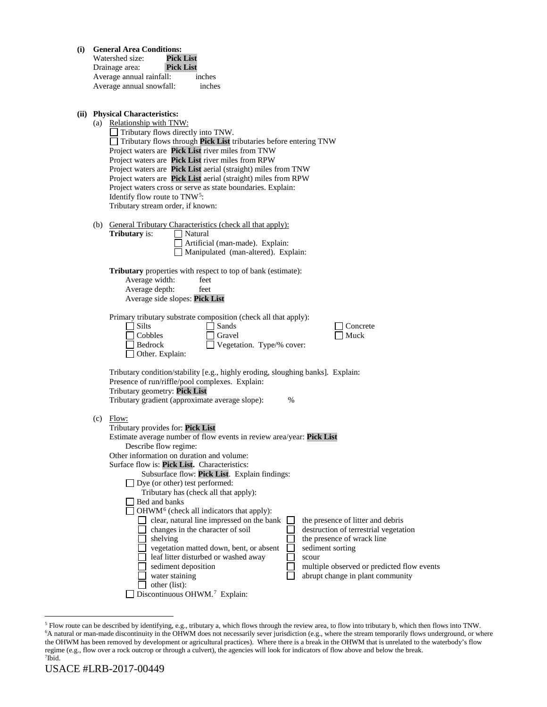| (i) |     | <b>General Area Conditions:</b><br>Watershed size:<br>Pick List<br><b>Pick List</b><br>Drainage area:<br>Average annual rainfall:<br>inches<br>Average annual snowfall:<br>inches                                                                                                                                                                                                                                                                                                                                                                                                                                                                                                                                                                                              |
|-----|-----|--------------------------------------------------------------------------------------------------------------------------------------------------------------------------------------------------------------------------------------------------------------------------------------------------------------------------------------------------------------------------------------------------------------------------------------------------------------------------------------------------------------------------------------------------------------------------------------------------------------------------------------------------------------------------------------------------------------------------------------------------------------------------------|
|     |     | (ii) Physical Characteristics:<br>(a) Relationship with TNW:<br>Tributary flows directly into TNW.<br>Tributary flows through Pick List tributaries before entering TNW<br>Project waters are Pick List river miles from TNW<br>Project waters are Pick List river miles from RPW<br>Project waters are Pick List aerial (straight) miles from TNW<br>Project waters are Pick List aerial (straight) miles from RPW<br>Project waters cross or serve as state boundaries. Explain:<br>Identify flow route to TNW <sup>5</sup> :<br>Tributary stream order, if known:                                                                                                                                                                                                           |
|     |     | (b) General Tributary Characteristics (check all that apply):<br><b>Tributary</b> is:<br>Natural<br>Artificial (man-made). Explain:<br>Manipulated (man-altered). Explain:                                                                                                                                                                                                                                                                                                                                                                                                                                                                                                                                                                                                     |
|     |     | <b>Tributary</b> properties with respect to top of bank (estimate):<br>Average width:<br>feet<br>Average depth:<br>feet<br>Average side slopes: Pick List                                                                                                                                                                                                                                                                                                                                                                                                                                                                                                                                                                                                                      |
|     |     | Primary tributary substrate composition (check all that apply):<br>$\Box$ Silts<br>Sands<br>Concrete<br>Cobbles<br>Gravel<br>Muck<br>Vegetation. Type/% cover:<br>Bedrock<br>Other. Explain:                                                                                                                                                                                                                                                                                                                                                                                                                                                                                                                                                                                   |
|     |     | Tributary condition/stability [e.g., highly eroding, sloughing banks]. Explain:<br>Presence of run/riffle/pool complexes. Explain:<br>Tributary geometry: Pick List<br>Tributary gradient (approximate average slope):<br>%                                                                                                                                                                                                                                                                                                                                                                                                                                                                                                                                                    |
|     | (c) | Flow:<br>Tributary provides for: Pick List<br>Estimate average number of flow events in review area/year: Pick List<br>Describe flow regime:<br>Other information on duration and volume:<br>Surface flow is: Pick List. Characteristics:<br>Subsurface flow: Pick List. Explain findings:<br>$\Box$ Dye (or other) test performed:<br>Tributary has (check all that apply):<br>Bed and banks<br>OHWM <sup>6</sup> (check all indicators that apply):<br>clear, natural line impressed on the bank<br>the presence of litter and debris<br>changes in the character of soil<br>destruction of terrestrial vegetation<br>shelving<br>the presence of wrack line<br>vegetation matted down, bent, or absent<br>sediment sorting<br>leaf litter disturbed or washed away<br>scour |
|     |     | sediment deposition<br>multiple observed or predicted flow events<br>water staining<br>abrupt change in plant community<br>other (list):                                                                                                                                                                                                                                                                                                                                                                                                                                                                                                                                                                                                                                       |

Discontinuous OHWM.<sup>7</sup> Explain:

<span id="page-2-2"></span><span id="page-2-1"></span><span id="page-2-0"></span><sup>&</sup>lt;sup>5</sup> Flow route can be described by identifying, e.g., tributary a, which flows through the review area, to flow into tributary b, which then flows into TNW.<br><sup>6</sup>A natural or man-made discontinuity in the OHWM does not neces the OHWM has been removed by development or agricultural practices). Where there is a break in the OHWM that is unrelated to the waterbody's flow regime (e.g., flow over a rock outcrop or through a culvert), the agencies will look for indicators of flow above and below the break. 7 Ibid.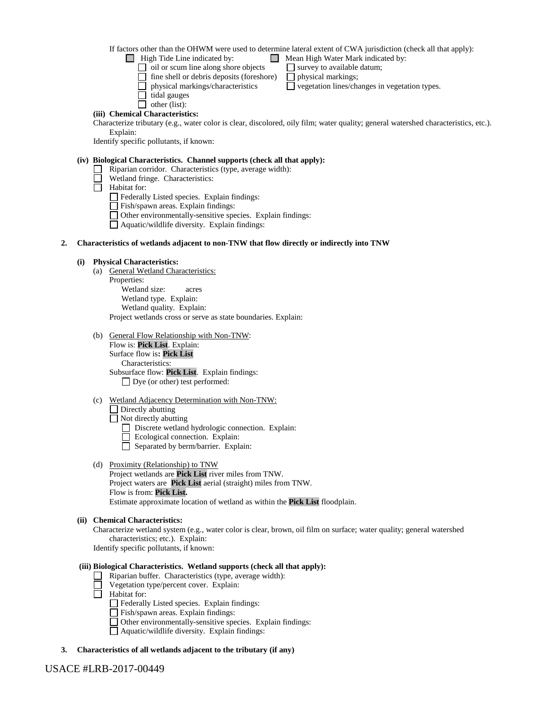If factors other than the OHWM were used to determine lateral extent of CWA jurisdiction (check all that apply):

 $\Box$  High Tide Line indicated by:  $\Box$  Mean High Water Mark indicated by:

- 
- $\Box$  oil or scum line along shore objects  $\Box$  survey to available datum;
- $\Box$  fine shell or debris deposits (foreshore)  $\Box$  physical markings;
- $\Box$  physical markings/characteristics  $\Box$  vegetation lines/changes in vegetation types.
- $\Box$  tidal gauges
- $\Box$  other (list):

# **(iii) Chemical Characteristics:**

Characterize tributary (e.g., water color is clear, discolored, oily film; water quality; general watershed characteristics, etc.). Explain:

Identify specific pollutants, if known:

## **(iv) Biological Characteristics. Channel supports (check all that apply):**

- Riparian corridor. Characteristics (type, average width):
- Wetland fringe. Characteristics:
- $\Box$  Habitat for:
	- Federally Listed species. Explain findings:
	- Fish/spawn areas. Explain findings:
	- Other environmentally-sensitive species. Explain findings:
	- Aquatic/wildlife diversity. Explain findings:

## **2. Characteristics of wetlands adjacent to non-TNW that flow directly or indirectly into TNW**

# **(i) Physical Characteristics:**

- (a) General Wetland Characteristics: Properties: Wetland size: acres Wetland type. Explain:
	- Wetland quality. Explain:

Project wetlands cross or serve as state boundaries. Explain:

(b) General Flow Relationship with Non-TNW: Flow is: **Pick List**. Explain: Surface flow is**: Pick List** 

Characteristics: Subsurface flow: **Pick List**. Explain findings: Dye (or other) test performed:

- (c) Wetland Adjacency Determination with Non-TNW:  $\Box$  Directly abutting
	- $\Box$  Not directly abutting
		- Discrete wetland hydrologic connection. Explain:
		- Ecological connection. Explain:
		- Separated by berm/barrier. Explain:
- (d) Proximity (Relationship) to TNW
	- Project wetlands are **Pick List** river miles from TNW. Project waters are **Pick List** aerial (straight) miles from TNW. Flow is from: **Pick List.** Estimate approximate location of wetland as within the **Pick List** floodplain.

## **(ii) Chemical Characteristics:**

Characterize wetland system (e.g., water color is clear, brown, oil film on surface; water quality; general watershed characteristics; etc.). Explain: Identify specific pollutants, if known:

## **(iii) Biological Characteristics. Wetland supports (check all that apply):**

- $\Box$  Riparian buffer. Characteristics (type, average width):
- Vegetation type/percent cover. Explain:
- $\Box$  Habitat for:

Federally Listed species. Explain findings:

- Fish/spawn areas. Explain findings:
- Other environmentally-sensitive species. Explain findings:
- Aquatic/wildlife diversity. Explain findings:
- **3. Characteristics of all wetlands adjacent to the tributary (if any)**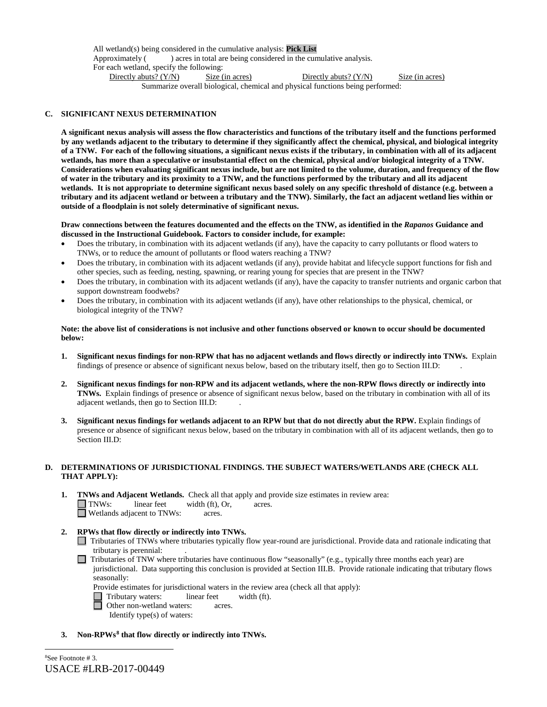All wetland(s) being considered in the cumulative analysis: **Pick List** Approximately ( ) acres in total are being considered in the cumulative analysis. For each wetland, specify the following: Directly abuts? (Y/N) Size (in acres) Directly abuts? (Y/N) Size (in acres) Summarize overall biological, chemical and physical functions being performed:

## **C. SIGNIFICANT NEXUS DETERMINATION**

**A significant nexus analysis will assess the flow characteristics and functions of the tributary itself and the functions performed by any wetlands adjacent to the tributary to determine if they significantly affect the chemical, physical, and biological integrity of a TNW. For each of the following situations, a significant nexus exists if the tributary, in combination with all of its adjacent wetlands, has more than a speculative or insubstantial effect on the chemical, physical and/or biological integrity of a TNW. Considerations when evaluating significant nexus include, but are not limited to the volume, duration, and frequency of the flow of water in the tributary and its proximity to a TNW, and the functions performed by the tributary and all its adjacent wetlands. It is not appropriate to determine significant nexus based solely on any specific threshold of distance (e.g. between a tributary and its adjacent wetland or between a tributary and the TNW). Similarly, the fact an adjacent wetland lies within or outside of a floodplain is not solely determinative of significant nexus.** 

#### **Draw connections between the features documented and the effects on the TNW, as identified in the** *Rapanos* **Guidance and discussed in the Instructional Guidebook. Factors to consider include, for example:**

- Does the tributary, in combination with its adjacent wetlands (if any), have the capacity to carry pollutants or flood waters to TNWs, or to reduce the amount of pollutants or flood waters reaching a TNW?
- Does the tributary, in combination with its adjacent wetlands (if any), provide habitat and lifecycle support functions for fish and other species, such as feeding, nesting, spawning, or rearing young for species that are present in the TNW?
- Does the tributary, in combination with its adjacent wetlands (if any), have the capacity to transfer nutrients and organic carbon that support downstream foodwebs?
- Does the tributary, in combination with its adjacent wetlands (if any), have other relationships to the physical, chemical, or biological integrity of the TNW?

#### **Note: the above list of considerations is not inclusive and other functions observed or known to occur should be documented below:**

- **1. Significant nexus findings for non-RPW that has no adjacent wetlands and flows directly or indirectly into TNWs.** Explain findings of presence or absence of significant nexus below, based on the tributary itself, then go to Section III.D: .
- **2. Significant nexus findings for non-RPW and its adjacent wetlands, where the non-RPW flows directly or indirectly into TNWs.** Explain findings of presence or absence of significant nexus below, based on the tributary in combination with all of its adjacent wetlands, then go to Section III.D: .
- **3. Significant nexus findings for wetlands adjacent to an RPW but that do not directly abut the RPW.** Explain findings of presence or absence of significant nexus below, based on the tributary in combination with all of its adjacent wetlands, then go to Section III.D:

#### **D. DETERMINATIONS OF JURISDICTIONAL FINDINGS. THE SUBJECT WATERS/WETLANDS ARE (CHECK ALL THAT APPLY):**

- **1. TNWs and Adjacent Wetlands.** Check all that apply and provide size estimates in review area: TNWs: linear feet width (ft), Or, acres. Wetlands adjacent to TNWs: acres.
- **2. RPWs that flow directly or indirectly into TNWs.**
	- Tributaries of TNWs where tributaries typically flow year-round are jurisdictional. Provide data and rationale indicating that tributary is perennial: .
	- Tributaries of TNW where tributaries have continuous flow "seasonally" (e.g., typically three months each year) are jurisdictional. Data supporting this conclusion is provided at Section III.B. Provide rationale indicating that tributary flows seasonally:
		- Provide estimates for jurisdictional waters in the review area (check all that apply):
		- Tributary waters: linear feet width (ft).<br> **O** Other non-wetland waters: acres.
			- Other non-wetland waters: acres. Identify type(s) of waters:
- <span id="page-4-0"></span>**3. Non-RPWs[8](#page-4-0) that flow directly or indirectly into TNWs.**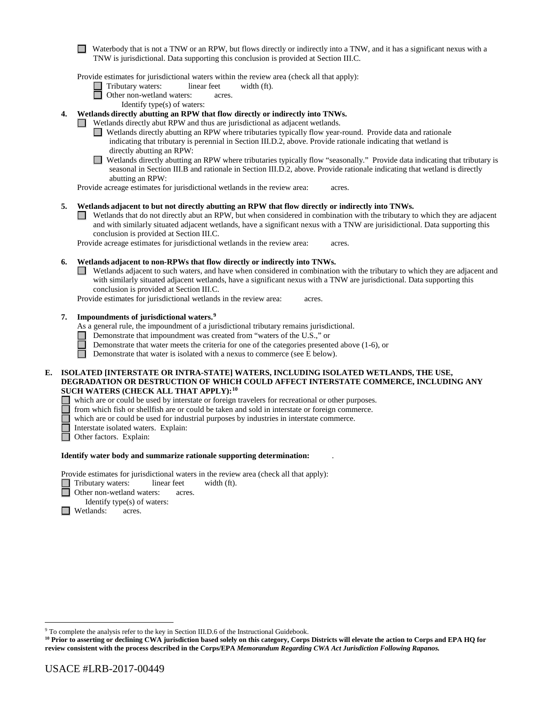Waterbody that is not a TNW or an RPW, but flows directly or indirectly into a TNW, and it has a significant nexus with a TNW is jurisdictional. Data supporting this conclusion is provided at Section III.C.

Provide estimates for jurisdictional waters within the review area (check all that apply):

- Tributary waters: linear feet width (ft).
- □ Other non-wetland waters: acres.
	- Identify type(s) of waters:

**4. Wetlands directly abutting an RPW that flow directly or indirectly into TNWs.** 

- Wetlands directly abut RPW and thus are jurisdictional as adjacent wetlands.
	- Wetlands directly abutting an RPW where tributaries typically flow year-round. Provide data and rationale indicating that tributary is perennial in Section III.D.2, above. Provide rationale indicating that wetland is directly abutting an RPW:
	- $\Box$ Wetlands directly abutting an RPW where tributaries typically flow "seasonally." Provide data indicating that tributary is seasonal in Section III.B and rationale in Section III.D.2, above. Provide rationale indicating that wetland is directly abutting an RPW:

Provide acreage estimates for jurisdictional wetlands in the review area: acres.

#### **5. Wetlands adjacent to but not directly abutting an RPW that flow directly or indirectly into TNWs.**

Wetlands that do not directly abut an RPW, but when considered in combination with the tributary to which they are adjacent and with similarly situated adjacent wetlands, have a significant nexus with a TNW are jurisidictional. Data supporting this conclusion is provided at Section III.C.

Provide acreage estimates for jurisdictional wetlands in the review area: acres.

#### **6. Wetlands adjacent to non-RPWs that flow directly or indirectly into TNWs.**

Wetlands adjacent to such waters, and have when considered in combination with the tributary to which they are adjacent and with similarly situated adjacent wetlands, have a significant nexus with a TNW are jurisdictional. Data supporting this conclusion is provided at Section III.C.

Provide estimates for jurisdictional wetlands in the review area: acres.

#### **7. Impoundments of jurisdictional waters. [9](#page-5-0)**

As a general rule, the impoundment of a jurisdictional tributary remains jurisdictional.

- Demonstrate that impoundment was created from "waters of the U.S.," or
- Demonstrate that water meets the criteria for one of the categories presented above (1-6), or

 $\Box$ Demonstrate that water is isolated with a nexus to commerce (see E below).

#### **E. ISOLATED [INTERSTATE OR INTRA-STATE] WATERS, INCLUDING ISOLATED WETLANDS, THE USE, DEGRADATION OR DESTRUCTION OF WHICH COULD AFFECT INTERSTATE COMMERCE, INCLUDING ANY SUCH WATERS (CHECK ALL THAT APPLY):[10](#page-5-1)**

- which are or could be used by interstate or foreign travelers for recreational or other purposes.
- from which fish or shellfish are or could be taken and sold in interstate or foreign commerce.
- which are or could be used for industrial purposes by industries in interstate commerce.
- Interstate isolated waters. Explain:<br> **Other factors.** Explain:
	- Other factors.Explain:

#### **Identify water body and summarize rationale supporting determination:** .

Provide estimates for jurisdictional waters in the review area (check all that apply):

- Tributary waters: linear feet width (ft).
- **Other non-wetland waters: acres.**

Identify type(s) of waters:

**I** Wetlands: acres.

<span id="page-5-0"></span> <sup>9</sup> To complete the analysis refer to the key in Section III.D.6 of the Instructional Guidebook.

<span id="page-5-1"></span>**<sup>10</sup> Prior to asserting or declining CWA jurisdiction based solely on this category, Corps Districts will elevate the action to Corps and EPA HQ for review consistent with the process described in the Corps/EPA** *Memorandum Regarding CWA Act Jurisdiction Following Rapanos.*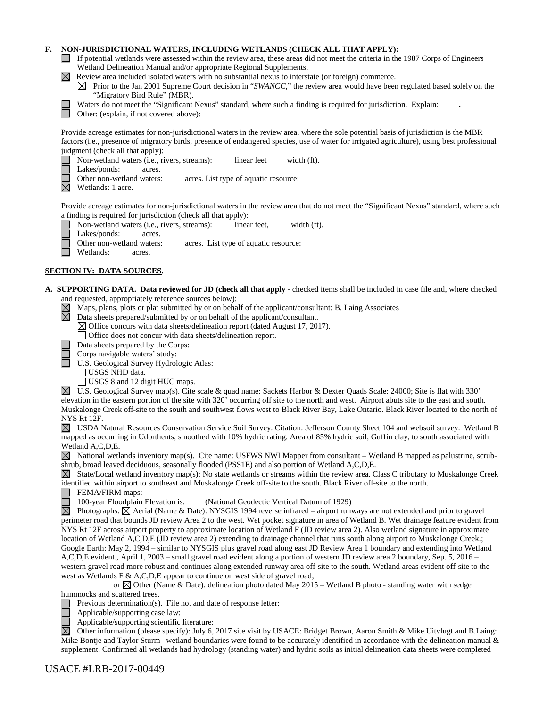# **F. NON-JURISDICTIONAL WATERS, INCLUDING WETLANDS (CHECK ALL THAT APPLY):**

- If potential wetlands were assessed within the review area, these areas did not meet the criteria in the 1987 Corps of Engineers Wetland Delineation Manual and/or appropriate Regional Supplements.
- $\boxtimes$  Review area included isolated waters with no substantial nexus to interstate (or foreign) commerce.
	- $\boxtimes$  Prior to the Jan 2001 Supreme Court decision in "*SWANCC*," the review area would have been regulated based solely on the "Migratory Bird Rule" (MBR).



Waters do not meet the "Significant Nexus" standard, where such a finding is required for jurisdiction. Explain: **.**

Other: (explain, if not covered above):

Provide acreage estimates for non-jurisdictional waters in the review area, where the sole potential basis of jurisdiction is the MBR factors (i.e., presence of migratory birds, presence of endangered species, use of water for irrigated agriculture), using best professional judgment (check all that apply):

Non-wetland waters (i.e., rivers, streams): linear feet width (ft).

Lakes/ponds: acres.

- Other non-wetland waters: acres. List type of aquatic resource:
- $\overline{\boxtimes}$ Wetlands: 1 acre.

Provide acreage estimates for non-jurisdictional waters in the review area that do not meet the "Significant Nexus" standard, where such a finding is required for jurisdiction (check all that apply):

- Non-wetland waters (i.e., rivers, streams): linear feet, width (ft).
- Lakes/ponds: acres.

Other non-wetland waters: acres. List type of aquatic resource:

Wetlands: acres.

# **SECTION IV: DATA SOURCES.**

- **A. SUPPORTING DATA. Data reviewed for JD (check all that apply -** checked items shall be included in case file and, where checked
	- and requested, appropriately reference sources below):<br>  $\boxtimes$  Maps, plans, plots or plat submitted by or on beha $\boxtimes$  Data sheets prepared/submitted by or on behalf of Maps, plans, plots or plat submitted by or on behalf of the applicant/consultant: B. Laing Associates
		- Data sheets prepared/submitted by or on behalf of the applicant/consultant.
		- $\boxtimes$  Office concurs with data sheets/delineation report (dated August 17, 2017).

Office does not concur with data sheets/delineation report.

- Data sheets prepared by the Corps:
- Corps navigable waters' study:

U.S. Geological Survey Hydrologic Atlas:

USGS NHD data.

USGS 8 and 12 digit HUC maps.

U.S. Geological Survey map(s). Cite scale & quad name: Sackets Harbor & Dexter Quads Scale: 24000; Site is flat with 330' elevation in the eastern portion of the site with 320' occurring off site to the north and west. Airport abuts site to the east and south. Muskalonge Creek off-site to the south and southwest flows west to Black River Bay, Lake Ontario. Black River located to the north of NYS Rt 12F.

USDA Natural Resources Conservation Service Soil Survey. Citation: Jefferson County Sheet 104 and websoil survey. Wetland B mapped as occurring in Udorthents, smoothed with 10% hydric rating. Area of 85% hydric soil, Guffin clay, to south associated with Wetland A,C,D,E.

 $\boxtimes$  National wetlands inventory map(s). Cite name: USFWS NWI Mapper from consultant – Wetland B mapped as palustrine, scrubshrub, broad leaved deciduous, seasonally flooded (PSS1E) and also portion of Wetland A,C,D,E.

 $\boxtimes$  State/Local wetland inventory map(s): No state wetlands or streams within the review area. Class C tributary to Muskalonge Creek identified within airport to southeast and Muskalonge Creek off-site to the south. Black River off-site to the north.

- FEMA/FIRM maps:  $\Box$ 
	- 100-year Floodplain Elevation is: (National Geodectic Vertical Datum of 1929)

Photographs:  $\overrightarrow{\triangle}$  Aerial (Name & Date): NYSGIS 1994 reverse infrared – airport runways are not extended and prior to gravel perimeter road that bounds JD review Area 2 to the west. Wet pocket signature in area of Wetland B. Wet drainage feature evident from NYS Rt 12F across airport property to approximate location of Wetland F (JD review area 2). Also wetland signature in approximate location of Wetland A,C,D,E (JD review area 2) extending to drainage channel that runs south along airport to Muskalonge Creek.; Google Earth: May 2, 1994 – similar to NYSGIS plus gravel road along east JD Review Area 1 boundary and extending into Wetland A,C,D,E evident., April 1, 2003 – small gravel road evident along a portion of western JD review area 2 boundary, Sep. 5, 2016 – western gravel road more robust and continues along extended runway area off-site to the south. Wetland areas evident off-site to the west as Wetlands F & A,C,D,E appear to continue on west side of gravel road;

or  $\boxtimes$  Other (Name & Date): delineation photo dated May 2015 – Wetland B photo - standing water with sedge hummocks and scattered trees.

Previous determination(s). File no. and date of response letter:

Applicable/supporting case law:

Applicable/supporting scientific literature:

岗 Other information (please specify): July 6, 2017 site visit by USACE: Bridget Brown, Aaron Smith & Mike Uitvlugt and B.Laing: Mike Bontje and Taylor Sturm– wetland boundaries were found to be accurately identified in accordance with the delineation manual  $\&$ supplement. Confirmed all wetlands had hydrology (standing water) and hydric soils as initial delineation data sheets were completed